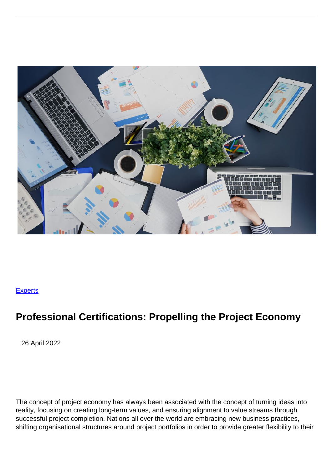

## **[Experts](/experts)**

## **Professional Certifications: Propelling the Project Economy**

26 April 2022

The concept of project economy has always been associated with the concept of turning ideas into reality, focusing on creating long-term values, and ensuring alignment to value streams through successful project completion. Nations all over the world are embracing new business practices, shifting organisational structures around project portfolios in order to provide greater flexibility to their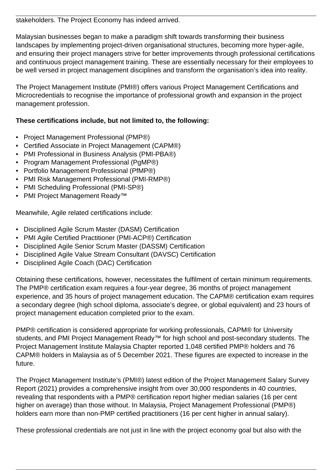stakeholders. The Project Economy has indeed arrived.

Malaysian businesses began to make a paradigm shift towards transforming their business landscapes by implementing project-driven organisational structures, becoming more hyper-agile, and ensuring their project managers strive for better improvements through professional certifications and continuous project management training. These are essentially necessary for their employees to be well versed in project management disciplines and transform the organisation's idea into reality.

The Project Management Institute (PMI®) offers various Project Management Certifications and Microcredentials to recognise the importance of professional growth and expansion in the project management profession.

## **These certifications include, but not limited to, the following:**

- Project Management Professional (PMP®)
- Certified Associate in Project Management (CAPM®)
- PMI Professional in Business Analysis (PMI-PBA®)
- Program Management Professional (PgMP®)
- Portfolio Management Professional (PfMP®)
- PMI Risk Management Professional (PMI-RMP®)
- PMI Scheduling Professional (PMI-SP®)
- PMI Project Management Ready™

Meanwhile, Agile related certifications include:

- Disciplined Agile Scrum Master (DASM) Certification
- PMI Agile Certified Practitioner (PMI-ACP®) Certification
- Disciplined Agile Senior Scrum Master (DASSM) Certification
- Disciplined Agile Value Stream Consultant (DAVSC) Certification
- Disciplined Agile Coach (DAC) Certification

Obtaining these certifications, however, necessitates the fulfilment of certain minimum requirements. The PMP® certification exam requires a four-year degree, 36 months of project management experience, and 35 hours of project management education. The CAPM® certification exam requires a secondary degree (high school diploma, associate's degree, or global equivalent) and 23 hours of project management education completed prior to the exam.

PMP® certification is considered appropriate for working professionals, CAPM® for University students, and PMI Project Management Ready™ for high school and post-secondary students. The Project Management Institute Malaysia Chapter reported 1,048 certified PMP® holders and 76 CAPM® holders in Malaysia as of 5 December 2021. These figures are expected to increase in the future.

The Project Management Institute's (PMI®) latest edition of the Project Management Salary Survey Report (2021) provides a comprehensive insight from over 30,000 respondents in 40 countries, revealing that respondents with a PMP® certification report higher median salaries (16 per cent higher on average) than those without. In Malaysia, Project Management Professional (PMP®) holders earn more than non-PMP certified practitioners (16 per cent higher in annual salary).

These professional credentials are not just in line with the project economy goal but also with the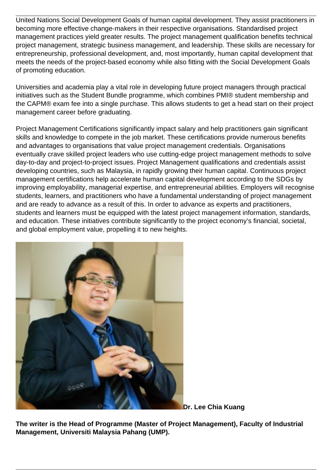United Nations Social Development Goals of human capital development. They assist practitioners in becoming more effective change-makers in their respective organisations. Standardised project management practices yield greater results. The project management qualification benefits technical project management, strategic business management, and leadership. These skills are necessary for entrepreneurship, professional development, and, most importantly, human capital development that meets the needs of the project-based economy while also fitting with the Social Development Goals of promoting education.

Universities and academia play a vital role in developing future project managers through practical initiatives such as the Student Bundle programme, which combines PMI® student membership and the CAPM® exam fee into a single purchase. This allows students to get a head start on their project management career before graduating.

Project Management Certifications significantly impact salary and help practitioners gain significant skills and knowledge to compete in the job market. These certifications provide numerous benefits and advantages to organisations that value project management credentials. Organisations eventually crave skilled project leaders who use cutting-edge project management methods to solve day-to-day and project-to-project issues. Project Management qualifications and credentials assist developing countries, such as Malaysia, in rapidly growing their human capital. Continuous project management certifications help accelerate human capital development according to the SDGs by improving employability, managerial expertise, and entrepreneurial abilities. Employers will recognise students, learners, and practitioners who have a fundamental understanding of project management and are ready to advance as a result of this. In order to advance as experts and practitioners, students and learners must be equipped with the latest project management information, standards, and education. These initiatives contribute significantly to the project economy's financial, societal, and global employment value, propelling it to new heights.



**Dr. Lee Chia Kuang**

**The writer is the Head of Programme (Master of Project Management), Faculty of Industrial Management, Universiti Malaysia Pahang (UMP).**